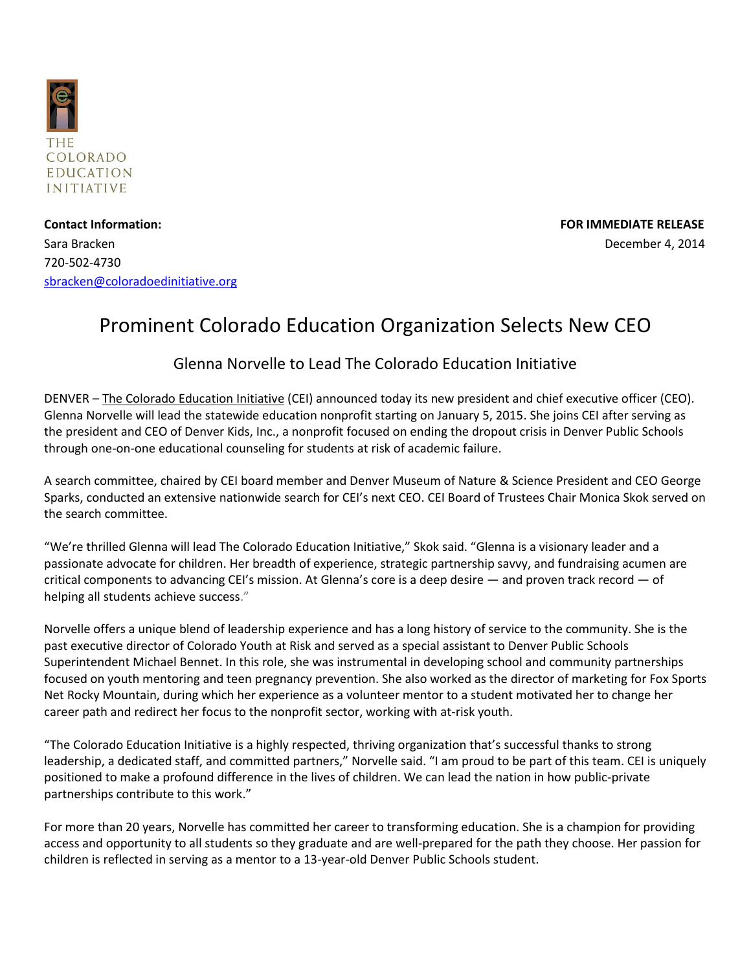

**Contact Information: FOR IMMEDIATE RELEASE** Sara Bracken December 4, 2014 720-502-4730 [sbracken@coloradoedinitiative.org](mailto:sbracken@coloradoedinitiative.org)

## Prominent Colorado Education Organization Selects New CEO

## Glenna Norvelle to Lead The Colorado Education Initiative

DENVER – [The Colorado Education Initiative](http://www.coloradoedinitiative.org/) (CEI) announced today its new president and chief executive officer (CEO). Glenna Norvelle will lead the statewide education nonprofit starting on January 5, 2015. She joins CEI after serving as the president and CEO of Denver Kids, Inc., a nonprofit focused on ending the dropout crisis in Denver Public Schools through one-on-one educational counseling for students at risk of academic failure.

A search committee, chaired by CEI board member and Denver Museum of Nature & Science President and CEO George Sparks, conducted an extensive nationwide search for CEI's next CEO. CEI Board of Trustees Chair Monica Skok served on the search committee.

"We're thrilled Glenna will lead The Colorado Education Initiative," Skok said. "Glenna is a visionary leader and a passionate advocate for children. Her breadth of experience, strategic partnership savvy, and fundraising acumen are critical components to advancing CEI's mission. At Glenna's core is a deep desire — and proven track record — of helping all students achieve success."

Norvelle offers a unique blend of leadership experience and has a long history of service to the community. She is the past executive director of Colorado Youth at Risk and served as a special assistant to Denver Public Schools Superintendent Michael Bennet. In this role, she was instrumental in developing school and community partnerships focused on youth mentoring and teen pregnancy prevention. She also worked as the director of marketing for Fox Sports Net Rocky Mountain, during which her experience as a volunteer mentor to a student motivated her to change her career path and redirect her focus to the nonprofit sector, working with at-risk youth.

"The Colorado Education Initiative is a highly respected, thriving organization that's successful thanks to strong leadership, a dedicated staff, and committed partners," Norvelle said. "I am proud to be part of this team. CEI is uniquely positioned to make a profound difference in the lives of children. We can lead the nation in how public-private partnerships contribute to this work."

For more than 20 years, Norvelle has committed her career to transforming education. She is a champion for providing access and opportunity to all students so they graduate and are well-prepared for the path they choose. Her passion for children is reflected in serving as a mentor to a 13-year-old Denver Public Schools student.